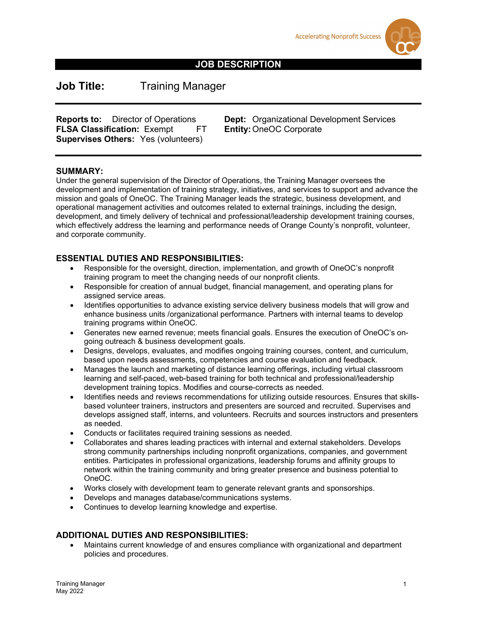



## **JOB DESCRIPTION**

**Job Title:** Training Manager

**FLSA Classification: Exempt FT Supervises Others:** Yes (volunteers)

**Reports to:** Director of Operations **Dept:** Organizational Development Services **FLSA Classification:** Exempt FT **Entity:** OneOC Corporate

#### **SUMMARY:**

Under the general supervision of the Director of Operations, the Training Manager oversees the development and implementation of training strategy, initiatives, and services to support and advance the mission and goals of OneOC. The Training Manager leads the strategic, business development, and operational management activities and outcomes related to external trainings, including the design, development, and timely delivery of technical and professional/leadership development training courses, which effectively address the learning and performance needs of Orange County's nonprofit, volunteer, and corporate community.

#### **ESSENTIAL DUTIES AND RESPONSIBILITIES:**

- Responsible for the oversight, direction, implementation, and growth of OneOC's nonprofit training program to meet the changing needs of our nonprofit clients.
- Responsible for creation of annual budget, financial management, and operating plans for assigned service areas.
- Identifies opportunities to advance existing service delivery business models that will grow and enhance business units /organizational performance. Partners with internal teams to develop training programs within OneOC.
- Generates new earned revenue; meets financial goals. Ensures the execution of OneOC's ongoing outreach & business development goals.
- Designs, develops, evaluates, and modifies ongoing training courses, content, and curriculum, based upon needs assessments, competencies and course evaluation and feedback.
- Manages the launch and marketing of distance learning offerings, including virtual classroom learning and self-paced, web-based training for both technical and professional/leadership development training topics. Modifies and course-corrects as needed.
- Identifies needs and reviews recommendations for utilizing outside resources. Ensures that skillsbased volunteer trainers, instructors and presenters are sourced and recruited. Supervises and develops assigned staff, interns, and volunteers. Recruits and sources instructors and presenters as needed.
- Conducts or facilitates required training sessions as needed.
- Collaborates and shares leading practices with internal and external stakeholders. Develops strong community partnerships including nonprofit organizations, companies, and government entities. Participates in professional organizations, leadership forums and affinity groups to network within the training community and bring greater presence and business potential to OneOC.
- Works closely with development team to generate relevant grants and sponsorships.
- Develops and manages database/communications systems.
- Continues to develop learning knowledge and expertise.

## **ADDITIONAL DUTIES AND RESPONSIBILITIES:**

• Maintains current knowledge of and ensures compliance with organizational and department policies and procedures.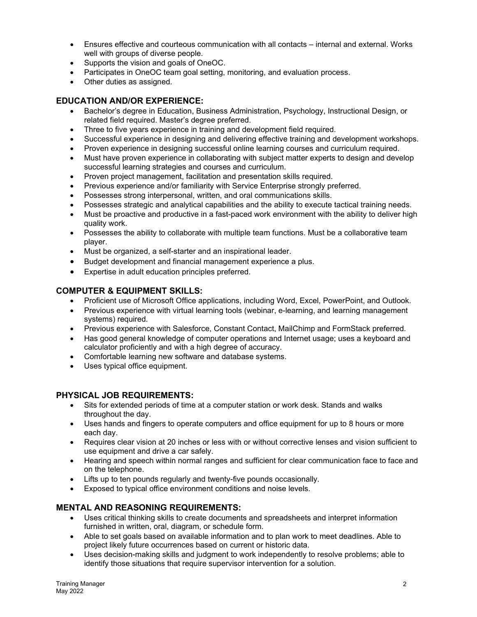- Ensures effective and courteous communication with all contacts internal and external. Works well with groups of diverse people.
- Supports the vision and goals of OneOC.
- Participates in OneOC team goal setting, monitoring, and evaluation process.
- Other duties as assigned.

## **EDUCATION AND/OR EXPERIENCE:**

- Bachelor's degree in Education, Business Administration, Psychology, Instructional Design, or related field required. Master's degree preferred.
- Three to five years experience in training and development field required.
- Successful experience in designing and delivering effective training and development workshops.
- Proven experience in designing successful online learning courses and curriculum required.
- Must have proven experience in collaborating with subject matter experts to design and develop successful learning strategies and courses and curriculum.
- Proven project management, facilitation and presentation skills required.
- Previous experience and/or familiarity with Service Enterprise strongly preferred.
- Possesses strong interpersonal, written, and oral communications skills.
- Possesses strategic and analytical capabilities and the ability to execute tactical training needs.
- Must be proactive and productive in a fast-paced work environment with the ability to deliver high quality work.
- Possesses the ability to collaborate with multiple team functions. Must be a collaborative team player.
- Must be organized, a self-starter and an inspirational leader.
- Budget development and financial management experience a plus.
- Expertise in adult education principles preferred.

## **COMPUTER & EQUIPMENT SKILLS:**

- Proficient use of Microsoft Office applications, including Word, Excel, PowerPoint, and Outlook.
- Previous experience with virtual learning tools (webinar, e-learning, and learning management systems) required.
- Previous experience with Salesforce, Constant Contact, MailChimp and FormStack preferred.
- Has good general knowledge of computer operations and Internet usage; uses a keyboard and calculator proficiently and with a high degree of accuracy.
- Comfortable learning new software and database systems.
- Uses typical office equipment.

## **PHYSICAL JOB REQUIREMENTS:**

- Sits for extended periods of time at a computer station or work desk. Stands and walks throughout the day.
- Uses hands and fingers to operate computers and office equipment for up to 8 hours or more each day.
- Requires clear vision at 20 inches or less with or without corrective lenses and vision sufficient to use equipment and drive a car safely.
- Hearing and speech within normal ranges and sufficient for clear communication face to face and on the telephone.
- Lifts up to ten pounds regularly and twenty-five pounds occasionally.
- Exposed to typical office environment conditions and noise levels.

# **MENTAL AND REASONING REQUIREMENTS:**

- Uses critical thinking skills to create documents and spreadsheets and interpret information furnished in written, oral, diagram, or schedule form.
- Able to set goals based on available information and to plan work to meet deadlines. Able to project likely future occurrences based on current or historic data.
- Uses decision-making skills and judgment to work independently to resolve problems; able to identify those situations that require supervisor intervention for a solution.